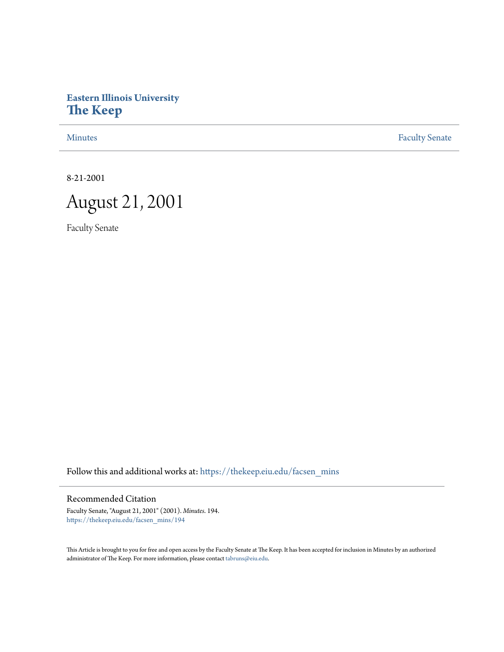# **Eastern Illinois University [The Keep](https://thekeep.eiu.edu?utm_source=thekeep.eiu.edu%2Ffacsen_mins%2F194&utm_medium=PDF&utm_campaign=PDFCoverPages)**

[Minutes](https://thekeep.eiu.edu/facsen_mins?utm_source=thekeep.eiu.edu%2Ffacsen_mins%2F194&utm_medium=PDF&utm_campaign=PDFCoverPages) **[Faculty Senate](https://thekeep.eiu.edu/fac_senate?utm_source=thekeep.eiu.edu%2Ffacsen_mins%2F194&utm_medium=PDF&utm_campaign=PDFCoverPages)** 

8-21-2001



Faculty Senate

Follow this and additional works at: [https://thekeep.eiu.edu/facsen\\_mins](https://thekeep.eiu.edu/facsen_mins?utm_source=thekeep.eiu.edu%2Ffacsen_mins%2F194&utm_medium=PDF&utm_campaign=PDFCoverPages)

Recommended Citation

Faculty Senate, "August 21, 2001" (2001). *Minutes*. 194. [https://thekeep.eiu.edu/facsen\\_mins/194](https://thekeep.eiu.edu/facsen_mins/194?utm_source=thekeep.eiu.edu%2Ffacsen_mins%2F194&utm_medium=PDF&utm_campaign=PDFCoverPages)

This Article is brought to you for free and open access by the Faculty Senate at The Keep. It has been accepted for inclusion in Minutes by an authorized administrator of The Keep. For more information, please contact [tabruns@eiu.edu.](mailto:tabruns@eiu.edu)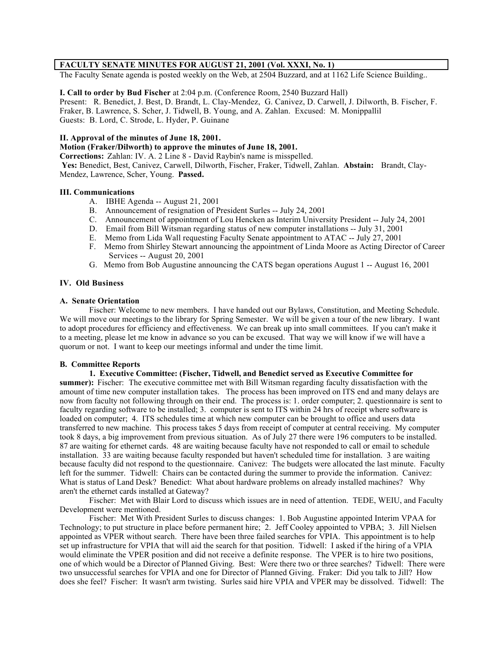## **FACULTY SENATE MINUTES FOR AUGUST 21, 2001 (Vol. XXXI, No. 1)**

The Faculty Senate agenda is posted weekly on the Web, at 2504 Buzzard, and at 1162 Life Science Building..

**I. Call to order by Bud Fischer** at 2:04 p.m. (Conference Room, 2540 Buzzard Hall) Present: R. Benedict, J. Best, D. Brandt, L. Clay-Mendez, G. Canivez, D. Carwell, J. Dilworth, B. Fischer, F. Fraker, B. Lawrence, S. Scher, J. Tidwell, B. Young, and A. Zahlan. Excused: M. Monippallil Guests: B. Lord, C. Strode, L. Hyder, P. Guinane

#### **II. Approval of the minutes of June 18, 2001.**

**Motion (Fraker/Dilworth) to approve the minutes of June 18, 2001.**

**Corrections:** Zahlan: IV. A. 2 Line 8 - David Raybin's name is misspelled.

 **Yes:** Benedict, Best, Canivez, Carwell, Dilworth, Fischer, Fraker, Tidwell, Zahlan. **Abstain:** Brandt, Clay-Mendez, Lawrence, Scher, Young. **Passed.**

## **III. Communications**

- A. IBHE Agenda -- August 21, 2001
- B. Announcement of resignation of President Surles -- July 24, 2001
- C. Announcement of appointment of Lou Hencken as Interim University President -- July 24, 2001
- D. Email from Bill Witsman regarding status of new computer installations -- July 31, 2001
- E. Memo from Lida Wall requesting Faculty Senate appointment to ATAC -- July 27, 2001
- F. Memo from Shirley Stewart announcing the appointment of Linda Moore as Acting Director of Career Services -- August 20, 2001
- G. Memo from Bob Augustine announcing the CATS began operations August 1 -- August 16, 2001

#### **IV. Old Business**

#### **A. Senate Orientation**

Fischer: Welcome to new members. I have handed out our Bylaws, Constitution, and Meeting Schedule. We will move our meetings to the library for Spring Semester. We will be given a tour of the new library. I want to adopt procedures for efficiency and effectiveness. We can break up into small committees. If you can't make it to a meeting, please let me know in advance so you can be excused. That way we will know if we will have a quorum or not. I want to keep our meetings informal and under the time limit.

#### **B. Committee Reports**

**1. Executive Committee: (Fischer, Tidwell, and Benedict served as Executive Committee for summer):** Fischer:The executive committee met with Bill Witsman regarding faculty dissatisfaction with the amount of time new computer installation takes. The process has been improved on ITS end and many delays are now from faculty not following through on their end. The process is: 1. order computer; 2. questionnaire is sent to faculty regarding software to be installed; 3. computer is sent to ITS within 24 hrs of receipt where software is loaded on computer; 4. ITS schedules time at which new computer can be brought to office and users data transferred to new machine. This process takes 5 days from receipt of computer at central receiving. My computer took 8 days, a big improvement from previous situation. As of July 27 there were 196 computers to be installed. 87 are waiting for ethernet cards. 48 are waiting because faculty have not responded to call or email to schedule installation. 33 are waiting because faculty responded but haven't scheduled time for installation. 3 are waiting because faculty did not respond to the questionnaire. Canivez: The budgets were allocated the last minute. Faculty left for the summer. Tidwell: Chairs can be contacted during the summer to provide the information. Canivez: What is status of Land Desk? Benedict: What about hardware problems on already installed machines? Why aren't the ethernet cards installed at Gateway?

Fischer: Met with Blair Lord to discuss which issues are in need of attention. TEDE, WEIU, and Faculty Development were mentioned.

Fischer: Met With President Surles to discuss changes: 1. Bob Augustine appointed Interim VPAA for Technology; to put structure in place before permanent hire; 2. Jeff Cooley appointed to VPBA; 3. Jill Nielsen appointed as VPER without search. There have been three failed searches for VPIA. This appointment is to help set up infrastructure for VPIA that will aid the search for that position. Tidwell: I asked if the hiring of a VPIA would eliminate the VPER position and did not receive a definite response. The VPER is to hire two positions, one of which would be a Director of Planned Giving. Best: Were there two or three searches? Tidwell: There were two unsuccessful searches for VPIA and one for Director of Planned Giving. Fraker: Did you talk to Jill? How does she feel? Fischer: It wasn't arm twisting. Surles said hire VPIA and VPER may be dissolved. Tidwell: The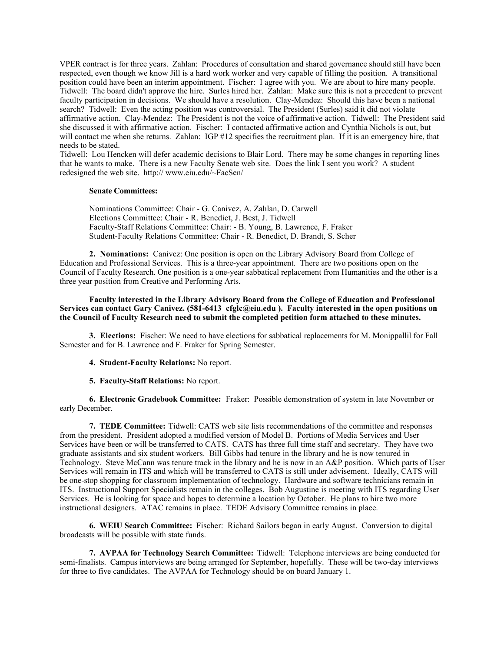VPER contract is for three years. Zahlan: Procedures of consultation and shared governance should still have been respected, even though we know Jill is a hard work worker and very capable of filling the position. A transitional position could have been an interim appointment. Fischer: I agree with you. We are about to hire many people. Tidwell: The board didn't approve the hire. Surles hired her. Zahlan: Make sure this is not a precedent to prevent faculty participation in decisions. We should have a resolution. Clay-Mendez: Should this have been a national search? Tidwell: Even the acting position was controversial. The President (Surles) said it did not violate affirmative action. Clay-Mendez: The President is not the voice of affirmative action. Tidwell: The President said she discussed it with affirmative action. Fischer: I contacted affirmative action and Cynthia Nichols is out, but will contact me when she returns. Zahlan: IGP #12 specifies the recruitment plan. If it is an emergency hire, that needs to be stated.

Tidwell: Lou Hencken will defer academic decisions to Blair Lord. There may be some changes in reporting lines that he wants to make. There is a new Faculty Senate web site. Does the link I sent you work? A student redesigned the web site. http:// www.eiu.edu/~FacSen/

#### **Senate Committees:**

Nominations Committee: Chair - G. Canivez, A. Zahlan, D. Carwell Elections Committee: Chair - R. Benedict, J. Best, J. Tidwell Faculty-Staff Relations Committee: Chair: - B. Young, B. Lawrence, F. Fraker Student-Faculty Relations Committee: Chair - R. Benedict, D. Brandt, S. Scher

**2. Nominations:** Canivez: One position is open on the Library Advisory Board from College of Education and Professional Services. This is a three-year appointment. There are two positions open on the Council of Faculty Research. One position is a one-year sabbatical replacement from Humanities and the other is a three year position from Creative and Performing Arts.

## **Faculty interested in the Library Advisory Board from the College of Education and Professional Services can contact Gary Canivez. (581-6413 cfglc@eiu.edu ). Faculty interested in the open positions on the Council of Faculty Research need to submit the completed petition form attached to these minutes.**

**3. Elections:** Fischer: We need to have elections for sabbatical replacements for M. Monippallil for Fall Semester and for B. Lawrence and F. Fraker for Spring Semester.

**4. Student-Faculty Relations:** No report.

**5. Faculty-Staff Relations:** No report.

**6. Electronic Gradebook Committee:** Fraker: Possible demonstration of system in late November or early December.

**7. TEDE Committee:** Tidwell: CATS web site lists recommendations of the committee and responses from the president. President adopted a modified version of Model B. Portions of Media Services and User Services have been or will be transferred to CATS. CATS has three full time staff and secretary. They have two graduate assistants and six student workers. Bill Gibbs had tenure in the library and he is now tenured in Technology. Steve McCann was tenure track in the library and he is now in an A&P position. Which parts of User Services will remain in ITS and which will be transferred to CATS is still under advisement. Ideally, CATS will be one-stop shopping for classroom implementation of technology. Hardware and software technicians remain in ITS. Instructional Support Specialists remain in the colleges. Bob Augustine is meeting with ITS regarding User Services. He is looking for space and hopes to determine a location by October. He plans to hire two more instructional designers. ATAC remains in place. TEDE Advisory Committee remains in place.

**6. WEIU Search Committee:** Fischer: Richard Sailors began in early August. Conversion to digital broadcasts will be possible with state funds.

**7. AVPAA for Technology Search Committee:** Tidwell: Telephone interviews are being conducted for semi-finalists. Campus interviews are being arranged for September, hopefully. These will be two-day interviews for three to five candidates. The AVPAA for Technology should be on board January 1.